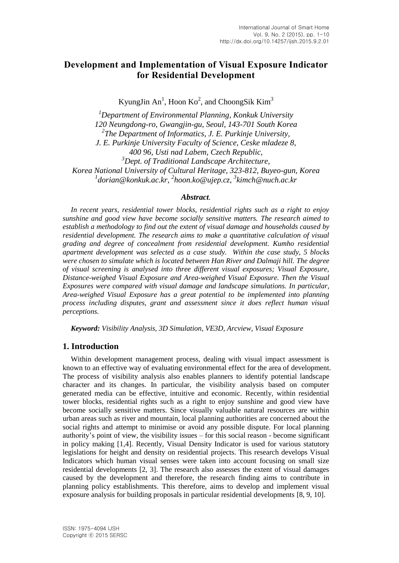# **Development and Implementation of Visual Exposure Indicator for Residential Development**

KyungJin An<sup>1</sup>, Hoon Ko<sup>2</sup>, and ChoongSik Kim<sup>3</sup>

*<sup>1</sup>Department of Environmental Planning, Konkuk University 120 Neungdong-ro, Gwangjin-gu, Seoul, 143-701 South Korea 2 The Department of Informatics, J. E. Purkinje University, J. E. Purkinje University Faculty of Science, Ceske mladeze 8, 400 96, Usti nad Labem, Czech Republic, <sup>3</sup>Dept. of Traditional Landscape Architecture, Korea National University of Cultural Heritage, 323-812, Buyeo-gun, Korea 1 dorian@konkuk.ac.kr, 2 hoon.ko@ujep.cz, 3 kimch@nuch.ac.kr*

#### *Abstract.*

*In recent years, residential tower blocks, residential rights such as a right to enjoy sunshine and good view have become socially sensitive matters. The research aimed to establish a methodology to find out the extent of visual damage and households caused by residential development. The research aims to make a quantitative calculation of visual grading and degree of concealment from residential development. Kumho residential apartment development was selected as a case study. Within the case study, 5 blocks were chosen to simulate which is located between Han River and Dalmaji hill. The degree of visual screening is analysed into three different visual exposures; Visual Exposure, Distance-weighed Visual Exposure and Area-weighed Visual Exposure. Then the Visual Exposures were compared with visual damage and landscape simulations. In particular, Area-weighed Visual Exposure has a great potential to be implemented into planning process including disputes, grant and assessment since it does reflect human visual perceptions.*

*Keyword: Visibility Analysis, 3D Simulation, VE3D, Arcview, Visual Exposure*

## **1. Introduction**

Within development management process, dealing with visual impact assessment is known to an effective way of evaluating environmental effect for the area of development. The process of visibility analysis also enables planners to identify potential landscape character and its changes. In particular, the visibility analysis based on computer generated media can be effective, intuitive and economic. Recently, within residential tower blocks, residential rights such as a right to enjoy sunshine and good view have become socially sensitive matters. Since visually valuable natural resources are within urban areas such as river and mountain, local planning authorities are concerned about the social rights and attempt to minimise or avoid any possible dispute. For local planning authority's point of view, the visibility issues – for this social reason - become significant in policy making [1,4]. Recently, Visual Density Indicator is used for various statutory legislations for height and density on residential projects. This research develops Visual Indicators which human visual senses were taken into account focusing on small size residential developments [2, 3]. The research also assesses the extent of visual damages caused by the development and therefore, the research finding aims to contribute in planning policy establishments. This therefore, aims to develop and implement visual exposure analysis for building proposals in particular residential developments [8, 9, 10].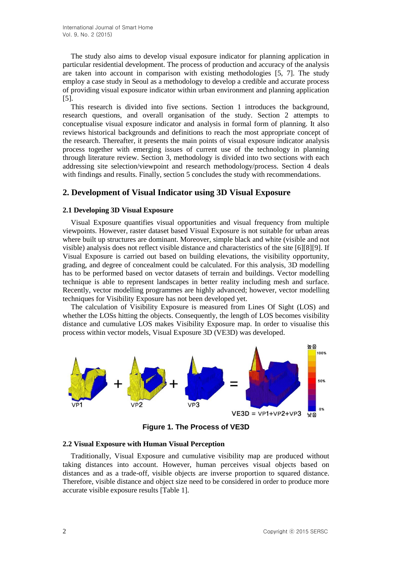The study also aims to develop visual exposure indicator for planning application in particular residential development. The process of production and accuracy of the analysis are taken into account in comparison with existing methodologies [5, 7]. The study employ a case study in Seoul as a methodology to develop a credible and accurate process of providing visual exposure indicator within urban environment and planning application [5].

This research is divided into five sections. Section 1 introduces the background, research questions, and overall organisation of the study. Section 2 attempts to conceptualise visual exposure indicator and analysis in formal form of planning. It also reviews historical backgrounds and definitions to reach the most appropriate concept of the research. Thereafter, it presents the main points of visual exposure indicator analysis process together with emerging issues of current use of the technology in planning through literature review. Section 3, methodology is divided into two sections with each addressing site selection/viewpoint and research methodology/process. Section 4 deals with findings and results. Finally, section 5 concludes the study with recommendations.

## **2. Development of Visual Indicator using 3D Visual Exposure**

### **2.1 Developing 3D Visual Exposure**

Visual Exposure quantifies visual opportunities and visual frequency from multiple viewpoints. However, raster dataset based Visual Exposure is not suitable for urban areas where built up structures are dominant. Moreover, simple black and white (visible and not visible) analysis does not reflect visible distance and characteristics of the site [6][8][9]. If Visual Exposure is carried out based on building elevations, the visibility opportunity, grading, and degree of concealment could be calculated. For this analysis, 3D modelling has to be performed based on vector datasets of terrain and buildings. Vector modelling technique is able to represent landscapes in better reality including mesh and surface. Recently, vector modelling programmes are highly advanced; however, vector modelling techniques for Visibility Exposure has not been developed yet.

The calculation of Visibility Exposure is measured from Lines Of Sight (LOS) and whether the LOSs hitting the objects. Consequently, the length of LOS becomes visibility distance and cumulative LOS makes Visibility Exposure map. In order to visualise this process within vector models, Visual Exposure 3D (VE3D) was developed.



**Figure 1. The Process of VE3D**

#### **2.2 Visual Exposure with Human Visual Perception**

Traditionally, Visual Exposure and cumulative visibility map are produced without taking distances into account. However, human perceives visual objects based on distances and as a trade-off, visible objects are inverse proportion to squared distance. Therefore, visible distance and object size need to be considered in order to produce more accurate visible exposure results [Table 1].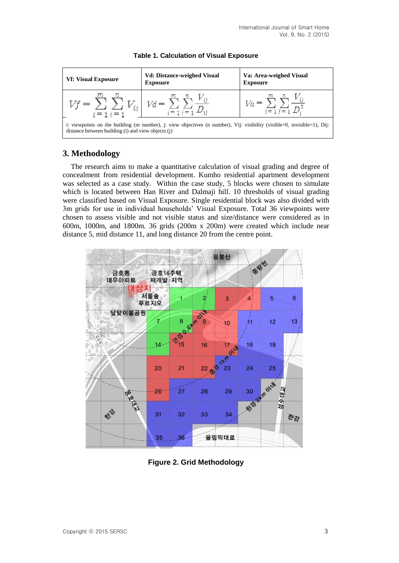



# **3. Methodology**

The research aims to make a quantitative calculation of visual grading and degree of concealment from residential development. Kumho residential apartment development was selected as a case study. Within the case study, 5 blocks were chosen to simulate which is located between Han River and Dalmaji hill. 10 thresholds of visual grading were classified based on Visual Exposure. Single residential block was also divided with 3m grids for use in individual households' Visual Exposure. Total 36 viewpoints were chosen to assess visible and not visible status and size/distance were considered as in 600m, 1000m, and 1800m. 36 grids (200m x 200m) were created which include near distance 5, mid distance 11, and long distance 20 from the centre point.



**Figure 2. Grid Methodology**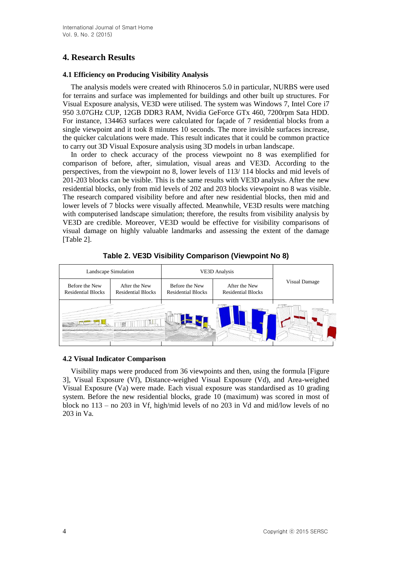# **4. Research Results**

## **4.1 Efficiency on Producing Visibility Analysis**

The analysis models were created with Rhinoceros 5.0 in particular, NURBS were used for terrains and surface was implemented for buildings and other built up structures. For Visual Exposure analysis, VE3D were utilised. The system was Windows 7, Intel Core i7 950 3.07GHz CUP, 12GB DDR3 RAM, Nvidia GeForce GTx 460, 7200rpm Sata HDD. For instance, 134463 surfaces were calculated for façade of 7 residential blocks from a single viewpoint and it took 8 minutes 10 seconds. The more invisible surfaces increase, the quicker calculations were made. This result indicates that it could be common practice to carry out 3D Visual Exposure analysis using 3D models in urban landscape.

In order to check accuracy of the process viewpoint no 8 was exemplified for comparison of before, after, simulation, visual areas and VE3D. According to the perspectives, from the viewpoint no 8, lower levels of 113/ 114 blocks and mid levels of 201-203 blocks can be visible. This is the same results with VE3D analysis. After the new residential blocks, only from mid levels of 202 and 203 blocks viewpoint no 8 was visible. The research compared visibility before and after new residential blocks, then mid and lower levels of 7 blocks were visually affected. Meanwhile, VE3D results were matching with computerised landscape simulation; therefore, the results from visibility analysis by VE3D are credible. Moreover, VE3D would be effective for visibility comparisons of visual damage on highly valuable landmarks and assessing the extent of the damage [Table 2].

|                                             | Landscape Simulation                       | <b>VE3D Analysis</b>                        |                                            |                      |  |  |
|---------------------------------------------|--------------------------------------------|---------------------------------------------|--------------------------------------------|----------------------|--|--|
| Before the New<br><b>Residential Blocks</b> | After the New<br><b>Residential Blocks</b> | Before the New<br><b>Residential Blocks</b> | After the New<br><b>Residential Blocks</b> | <b>Visual Damage</b> |  |  |
|                                             |                                            |                                             |                                            |                      |  |  |

**Table 2. VE3D Visibility Comparison (Viewpoint No 8)**

## **4.2 Visual Indicator Comparison**

Visibility maps were produced from 36 viewpoints and then, using the formula [Figure 3], Visual Exposure (Vf), Distance-weighed Visual Exposure (Vd), and Area-weighed Visual Exposure (Va) were made. Each visual exposure was standardised as 10 grading system. Before the new residential blocks, grade 10 (maximum) was scored in most of block no 113 – no 203 in Vf, high/mid levels of no 203 in Vd and mid/low levels of no 203 in Va.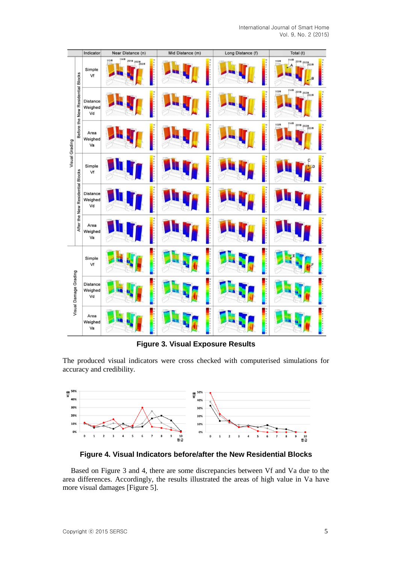

**Figure 3. Visual Exposure Results**

The produced visual indicators were cross checked with computerised simulations for accuracy and credibility.



**Figure 4. Visual Indicators before/after the New Residential Blocks** 

Based on Figure 3 and 4, there are some discrepancies between Vf and Va due to the area differences. Accordingly, the results illustrated the areas of high value in Va have more visual damages [Figure 5].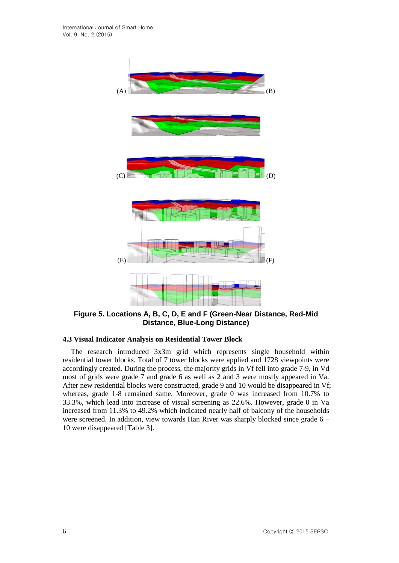

**Figure 5. Locations A, B, C, D, E and F (Green-Near Distance, Red-Mid Distance, Blue-Long Distance)**

### **4.3 Visual Indicator Analysis on Residential Tower Block**

The research introduced 3x3m grid which represents single household within residential tower blocks. Total of 7 tower blocks were applied and 1728 viewpoints were accordingly created. During the process, the majority grids in Vf fell into grade 7-9, in Vd most of grids were grade 7 and grade 6 as well as 2 and 3 were mostly appeared in Va. After new residential blocks were constructed, grade 9 and 10 would be disappeared in Vf; whereas, grade 1-8 remained same. Moreover, grade 0 was increased from 10.7% to 33.3%, which lead into increase of visual screening as 22.6%. However, grade 0 in Va increased from 11.3% to 49.2% which indicated nearly half of balcony of the households were screened. In addition, view towards Han River was sharply blocked since grade 6 – 10 were disappeared [Table 3].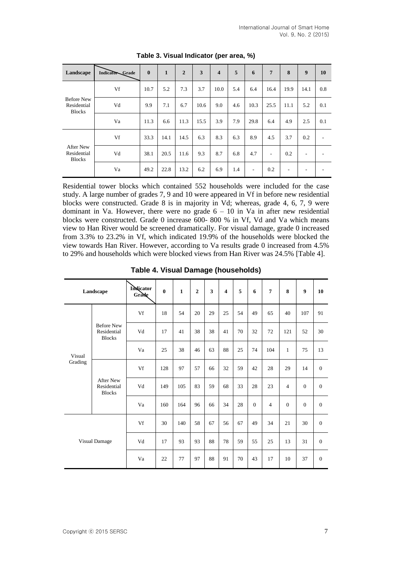| Landscape                                         | IndicatorGrade | $\bf{0}$ | $\mathbf{1}$ | $\overline{2}$ | $\overline{\mathbf{3}}$ | $\overline{\mathbf{4}}$ | 5   | 6    | $\overline{7}$ | 8    | 9    | 10                       |
|---------------------------------------------------|----------------|----------|--------------|----------------|-------------------------|-------------------------|-----|------|----------------|------|------|--------------------------|
| <b>Before New</b><br>Residential<br><b>Blocks</b> | Vf             | 10.7     | 5.2          | 7.3            | 3.7                     | 10.0                    | 5.4 | 6.4  | 16.4           | 19.9 | 14.1 | 0.8                      |
|                                                   | Vd             | 9.9      | 7.1          | 6.7            | 10.6                    | 9.0                     | 4.6 | 10.3 | 25.5           | 11.1 | 5.2  | 0.1                      |
|                                                   | Va             | 11.3     | 6.6          | 11.3           | 15.5                    | 3.9                     | 7.9 | 29.8 | 6.4            | 4.9  | 2.5  | 0.1                      |
| <b>After New</b><br>Residential<br><b>Blocks</b>  | Vf             | 33.3     | 14.1         | 14.5           | 6.3                     | 8.3                     | 6.3 | 8.9  | 4.5            | 3.7  | 0.2  | $\overline{\phantom{a}}$ |
|                                                   | Vd             | 38.1     | 20.5         | 11.6           | 9.3                     | 8.7                     | 6.8 | 4.7  | ٠              | 0.2  | ۰    | ۰                        |
|                                                   | Va             | 49.2     | 22.8         | 13.2           | 6.2                     | 6.9                     | 1.4 | ٠    | 0.2            | ٠    | ۰    | $\overline{\phantom{a}}$ |

**Table 3. Visual Indicator (per area, %)**

Residential tower blocks which contained 552 households were included for the case study. A large number of grades 7, 9 and 10 were appeared in Vf in before new residential blocks were constructed. Grade 8 is in majority in Vd; whereas, grade 4, 6, 7, 9 were dominant in Va. However, there were no grade  $6 - 10$  in Va in after new residential blocks were constructed. Grade 0 increase 600- 800 % in Vf, Vd and Va which means view to Han River would be screened dramatically. For visual damage, grade 0 increased from 3.3% to 23.2% in Vf, which indicated 19.9% of the households were blocked the view towards Han River. However, according to Va results grade 0 increased from 4.5% to 29% and households which were blocked views from Han River was 24.5% [Table 4].

| Landscape         |                                                   | Indicator<br>Grade | $\bf{0}$ | $\mathbf{1}$ | $\overline{2}$ | $\overline{\mathbf{3}}$ | $\overline{\mathbf{4}}$ | 5  | 6                | $\overline{7}$ | 8              | 9                | 10               |
|-------------------|---------------------------------------------------|--------------------|----------|--------------|----------------|-------------------------|-------------------------|----|------------------|----------------|----------------|------------------|------------------|
| Visual<br>Grading | <b>Before New</b><br>Residential<br><b>Blocks</b> | Vf                 | 18       | 54           | 20             | 29                      | 25                      | 54 | 49               | 65             | 40             | 107              | 91               |
|                   |                                                   | Vd                 | 17       | 41           | 38             | 38                      | 41                      | 70 | 32               | 72             | 121            | 52               | 30               |
|                   |                                                   | Va                 | 25       | 38           | 46             | 63                      | 88                      | 25 | 74               | 104            | $\mathbf{1}$   | 75               | 13               |
|                   | <b>After New</b><br>Residential<br><b>Blocks</b>  | Vf                 | 128      | 97           | 57             | 66                      | 32                      | 59 | 42               | 28             | 29             | 14               | $\mathbf{0}$     |
|                   |                                                   | Vd                 | 149      | 105          | 83             | 59                      | 68                      | 33 | 28               | 23             | $\overline{4}$ | $\mathbf{0}$     | $\mathbf{0}$     |
|                   |                                                   | Va                 | 160      | 164          | 96             | 66                      | 34                      | 28 | $\boldsymbol{0}$ | $\overline{4}$ | $\overline{0}$ | $\boldsymbol{0}$ | $\boldsymbol{0}$ |
| Visual Damage     |                                                   | Vf                 | 30       | 140          | 58             | 67                      | 56                      | 67 | 49               | 34             | 21             | 30               | $\mathbf{0}$     |
|                   |                                                   | Vd                 | 17       | 93           | 93             | 88                      | 78                      | 59 | 55               | 25             | 13             | 31               | $\mathbf{0}$     |
|                   |                                                   | Va                 | 22       | 77           | 97             | 88                      | 91                      | 70 | 43               | 17             | 10             | 37               | $\mathbf{0}$     |

**Table 4. Visual Damage (households)**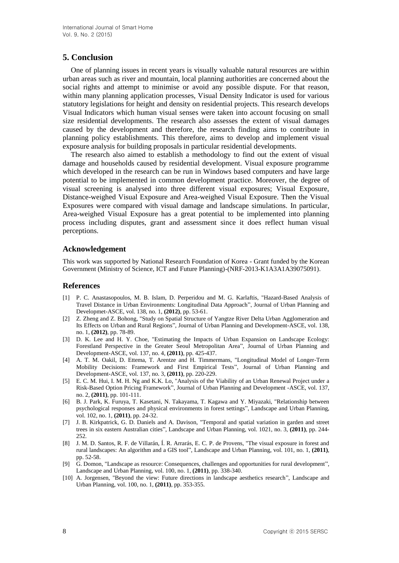## **5. Conclusion**

One of planning issues in recent years is visually valuable natural resources are within urban areas such as river and mountain, local planning authorities are concerned about the social rights and attempt to minimise or avoid any possible dispute. For that reason, within many planning application processes, Visual Density Indicator is used for various statutory legislations for height and density on residential projects. This research develops Visual Indicators which human visual senses were taken into account focusing on small size residential developments. The research also assesses the extent of visual damages caused by the development and therefore, the research finding aims to contribute in planning policy establishments. This therefore, aims to develop and implement visual exposure analysis for building proposals in particular residential developments.

The research also aimed to establish a methodology to find out the extent of visual damage and households caused by residential development. Visual exposure programme which developed in the research can be run in Windows based computers and have large potential to be implemented in common development practice. Moreover, the degree of visual screening is analysed into three different visual exposures; Visual Exposure, Distance-weighed Visual Exposure and Area-weighed Visual Exposure. Then the Visual Exposures were compared with visual damage and landscape simulations. In particular, Area-weighed Visual Exposure has a great potential to be implemented into planning process including disputes, grant and assessment since it does reflect human visual perceptions.

### **Acknowledgement**

This work was supported by National Research Foundation of Korea - Grant funded by the Korean Government (Ministry of Science, ICT and Future Planning)-(NRF-2013-K1A3A1A39075091).

#### **References**

- [1] P. C. Anastasopoulos, M. B. Islam, D. Perperidou and M. G. Karlaftis, "Hazard-Based Analysis of Travel Distance in Urban Environments: Longitudinal Data Approach", Journal of Urban Planning and Developmet-ASCE, vol. 138, no. 1, **(2012)**, pp. 53-61.
- [2] Z. Zheng and Z. Bohong, "Study on Spatial Structure of Yangtze River Delta Urban Agglomeration and Its Effects on Urban and Rural Regions", Journal of Urban Planning and Development-ASCE, vol. 138, no. 1, **(2012)**, pp. 78-89.
- [3] D. K. Lee and H. Y. Choe, "Estimating the Impacts of Urban Expansion on Landscape Ecology: Forestland Perspective in the Greater Seoul Metropolitan Area", Journal of Urban Planning and Development-ASCE, vol. 137, no. 4, **(2011)**, pp. 425-437.
- [4] A. T. M. Oakil, D. Ettema, T. Arentze and H. Timmermans, "Longitudinal Model of Longer-Term Mobility Decisions: Framework and First Empirical Tests", Journal of Urban Planning and Development-ASCE, vol. 137, no. 3, **(2011)**, pp. 220-229.
- [5] E. C. M. Hui, I. M. H. Ng and K.K. Lo, "Analysis of the Viability of an Urban Renewal Project under a Risk-Based Option Pricing Framework", Journal of Urban Planning and Development -ASCE, vol. 137, no. 2, **(2011)**, pp. 101-111.
- [6] B. J. Park, K. Furuya, T. Kasetani, N. Takayama, T. Kagawa and Y. Miyazaki, "Relationship between psychological responses and physical environments in forest settings", Landscape and Urban Planning, vol. 102, no. 1, **(2011)**, pp. 24-32.
- [7] J. B. Kirkpatrick, G. D. Daniels and A. Davison, "Temporal and spatial variation in garden and street trees in six eastern Australian cities", Landscape and Urban Planning, vol. 1021, no. 3, **(2011)**, pp. 244- 252.
- [8] J. M. D. Santos, R. F. de Villarán, Í. R. Arrarás, E. C. P. de Provens, "The visual exposure in forest and rural landscapes: An algorithm and a GIS tool", Landscape and Urban Planning, vol. 101, no. 1, **(2011)**, pp. 52-58.
- [9] G. Domon, "Landscape as resource: Consequences, challenges and opportunities for rural development", Landscape and Urban Planning, vol. 100, no. 1, **(2011)**, pp. 338-340.
- [10] A. Jorgensen, "Beyond the view: Future directions in landscape aesthetics research", Landscape and Urban Planning, vol. 100, no. 1, **(2011)**, pp. 353-355.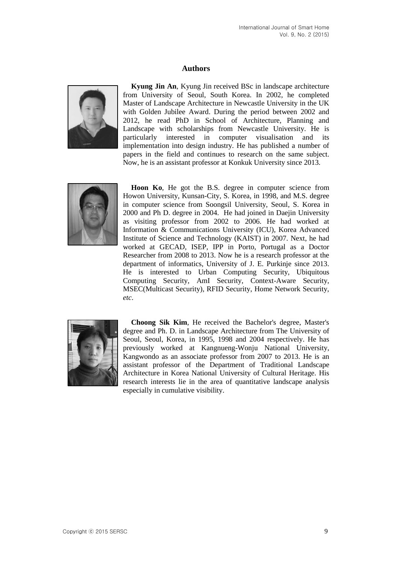## **Authors**



**Kyung Jin An**, Kyung Jin received BSc in landscape architecture from University of Seoul, South Korea. In 2002, he completed Master of Landscape Architecture in Newcastle University in the UK with Golden Jubilee Award. During the period between 2002 and 2012, he read PhD in School of Architecture, Planning and Landscape with scholarships from Newcastle University. He is particularly interested in computer visualisation and its implementation into design industry. He has published a number of papers in the field and continues to research on the same subject. Now, he is an assistant professor at Konkuk University since 2013.



**Hoon Ko**, He got the B.S. degree in computer science from Howon University, Kunsan-City, S. Korea, in 1998, and M.S. degree in computer science from Soongsil University, Seoul, S. Korea in 2000 and Ph D. degree in 2004. He had joined in Daejin University as visiting professor from 2002 to 2006. He had worked at Information & Communications University (ICU), Korea Advanced Institute of Science and Technology (KAIST) in 2007. Next, he had worked at GECAD, ISEP, IPP in Porto, Portugal as a Doctor Researcher from 2008 to 2013. Now he is a research professor at the department of informatics, University of J. E. Purkinje since 2013. He is interested to Urban Computing Security, Ubiquitous Computing Security, AmI Security, Context-Aware Security, MSEC(Multicast Security), RFID Security, Home Network Security, *etc*.



**Choong Sik Kim**, He received the Bachelor's degree, Master's degree and Ph. D. in Landscape Architecture from The University of Seoul, Seoul, Korea, in 1995, 1998 and 2004 respectively. He has previously worked at Kangnueng-Wonju National University, Kangwondo as an associate professor from 2007 to 2013. He is an assistant professor of the Department of Traditional Landscape Architecture in Korea National University of Cultural Heritage. His research interests lie in the area of quantitative landscape analysis especially in cumulative visibility.